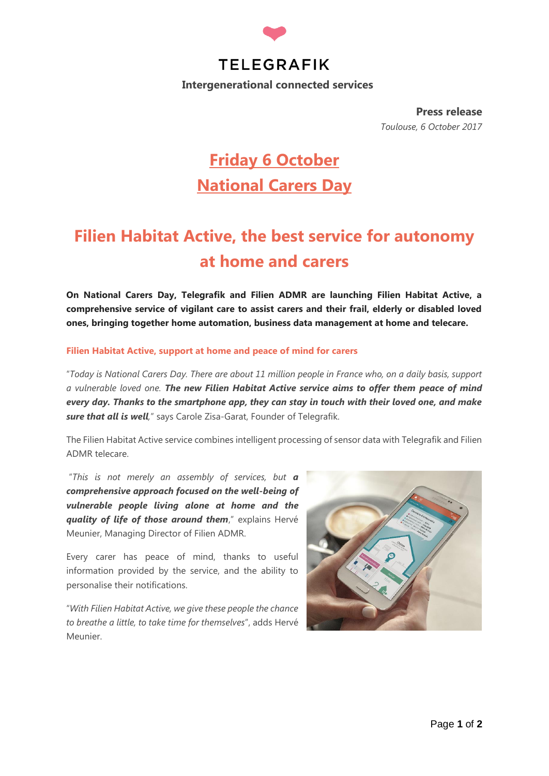

**Press release** *Toulouse, 6 October 2017*

# **Friday 6 October National Carers Day**

# **Filien Habitat Active, the best service for autonomy at home and carers**

**On National Carers Day, Telegrafik and Filien ADMR are launching Filien Habitat Active, a comprehensive service of vigilant care to assist carers and their frail, elderly or disabled loved ones, bringing together home automation, business data management at home and telecare.** 

### **Filien Habitat Active, support at home and peace of mind for carers**

"*Today is National Carers Day. There are about 11 million people in France who, on a daily basis, support a vulnerable loved one. The new Filien Habitat Active service aims to offer them peace of mind every day. Thanks to the smartphone app, they can stay in touch with their loved one, and make sure that all is well,*" says Carole Zisa-Garat, Founder of Telegrafik.

The Filien Habitat Active service combines intelligent processing of sensor data with Telegrafik and Filien ADMR telecare.

"*This is not merely an assembly of services, but a comprehensive approach focused on the well-being of vulnerable people living alone at home and the quality of life of those around them*," explains Hervé Meunier, Managing Director of Filien ADMR.

Every carer has peace of mind, thanks to useful information provided by the service, and the ability to personalise their notifications.

"*With Filien Habitat Active, we give these people the chance to breathe a little, to take time for themselves*", adds Hervé Meunier.